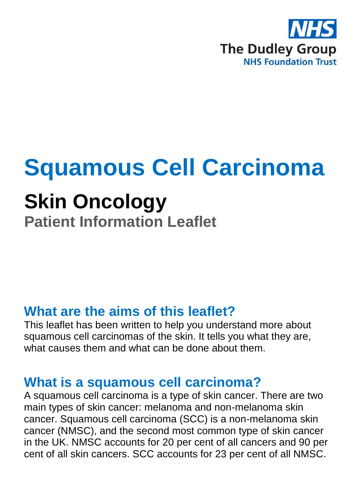

# **Squamous Cell Carcinoma**

## **Skin Oncology**

**Patient Information Leaflet**

#### **What are the aims of this leaflet?**

This leaflet has been written to help you understand more about squamous cell carcinomas of the skin. It tells you what they are, what causes them and what can be done about them.

#### **What is a squamous cell carcinoma?**

A squamous cell carcinoma is a type of skin cancer. There are two main types of skin cancer: melanoma and non-melanoma skin cancer. Squamous cell carcinoma (SCC) is a non-melanoma skin cancer (NMSC), and the second most common type of skin cancer in the UK. NMSC accounts for 20 per cent of all cancers and 90 per cent of all skin cancers. SCC accounts for 23 per cent of all NMSC.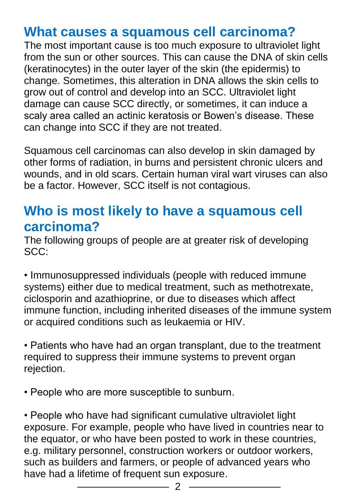#### **What causes a squamous cell carcinoma?**

The most important cause is too much exposure to ultraviolet light from the sun or other sources. This can cause the DNA of skin cells (keratinocytes) in the outer layer of the skin (the epidermis) to change. Sometimes, this alteration in DNA allows the skin cells to grow out of control and develop into an SCC. Ultraviolet light damage can cause SCC directly, or sometimes, it can induce a scaly area called an actinic keratosis or Bowen's disease. These can change into SCC if they are not treated.

Squamous cell carcinomas can also develop in skin damaged by other forms of radiation, in burns and persistent chronic ulcers and wounds, and in old scars. Certain human viral wart viruses can also be a factor. However, SCC itself is not contagious.

#### **Who is most likely to have a squamous cell carcinoma?**

The following groups of people are at greater risk of developing SCC:

• Immunosuppressed individuals (people with reduced immune systems) either due to medical treatment, such as methotrexate, ciclosporin and azathioprine, or due to diseases which affect immune function, including inherited diseases of the immune system or acquired conditions such as leukaemia or HIV.

• Patients who have had an organ transplant, due to the treatment required to suppress their immune systems to prevent organ rejection.

• People who are more susceptible to sunburn.

• People who have had significant cumulative ultraviolet light exposure. For example, people who have lived in countries near to the equator, or who have been posted to work in these countries, e.g. military personnel, construction workers or outdoor workers, such as builders and farmers, or people of advanced years who have had a lifetime of frequent sun exposure.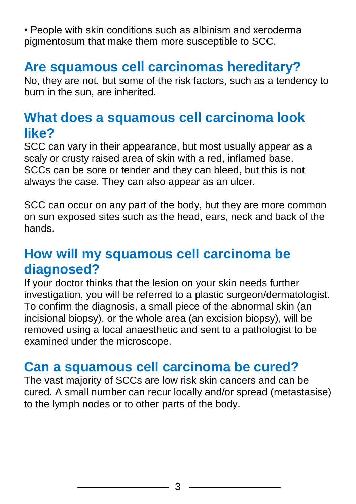• People with skin conditions such as albinism and xeroderma pigmentosum that make them more susceptible to SCC.

## **Are squamous cell carcinomas hereditary?**

No, they are not, but some of the risk factors, such as a tendency to burn in the sun, are inherited.

#### **What does a squamous cell carcinoma look like?**

SCC can vary in their appearance, but most usually appear as a scaly or crusty raised area of skin with a red, inflamed base. SCCs can be sore or tender and they can bleed, but this is not always the case. They can also appear as an ulcer.

SCC can occur on any part of the body, but they are more common on sun exposed sites such as the head, ears, neck and back of the hands.

#### **How will my squamous cell carcinoma be diagnosed?**

If your doctor thinks that the lesion on your skin needs further investigation, you will be referred to a plastic surgeon/dermatologist. To confirm the diagnosis, a small piece of the abnormal skin (an incisional biopsy), or the whole area (an excision biopsy), will be removed using a local anaesthetic and sent to a pathologist to be examined under the microscope.

## **Can a squamous cell carcinoma be cured?**

The vast majority of SCCs are low risk skin cancers and can be cured. A small number can recur locally and/or spread (metastasise) to the lymph nodes or to other parts of the body.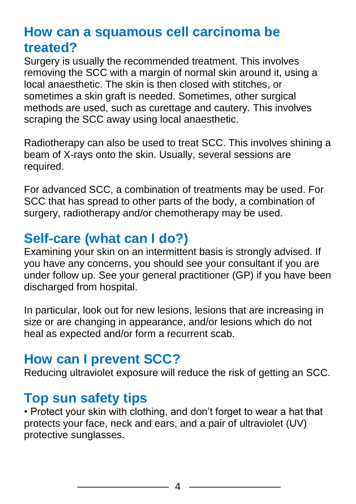## **How can a squamous cell carcinoma be treated?**

Surgery is usually the recommended treatment. This involves removing the SCC with a margin of normal skin around it, using a local anaesthetic. The skin is then closed with stitches, or sometimes a skin graft is needed. Sometimes, other surgical methods are used, such as curettage and cautery. This involves scraping the SCC away using local anaesthetic.

Radiotherapy can also be used to treat SCC. This involves shining a beam of X-rays onto the skin. Usually, several sessions are required.

For advanced SCC, a combination of treatments may be used. For SCC that has spread to other parts of the body, a combination of surgery, radiotherapy and/or chemotherapy may be used.

## **Self-care (what can I do?)**

Examining your skin on an intermittent basis is strongly advised. If you have any concerns, you should see your consultant if you are under follow up. See your general practitioner (GP) if you have been discharged from hospital.

In particular, look out for new lesions, lesions that are increasing in size or are changing in appearance, and/or lesions which do not heal as expected and/or form a recurrent scab.

#### **How can I prevent SCC?**

Reducing ultraviolet exposure will reduce the risk of getting an SCC.

#### **Top sun safety tips**

• Protect your skin with clothing, and don't forget to wear a hat that protects your face, neck and ears, and a pair of ultraviolet (UV) protective sunglasses.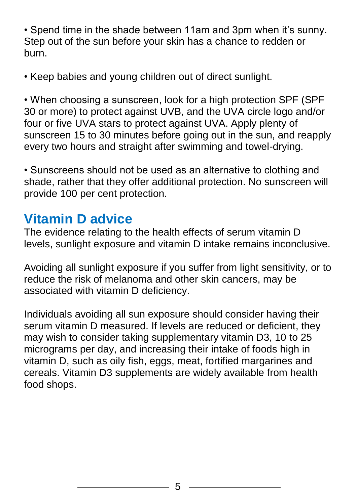• Spend time in the shade between 11am and 3pm when it's sunny. Step out of the sun before your skin has a chance to redden or burn.

• Keep babies and young children out of direct sunlight.

• When choosing a sunscreen, look for a high protection SPF (SPF 30 or more) to protect against UVB, and the UVA circle logo and/or four or five UVA stars to protect against UVA. Apply plenty of sunscreen 15 to 30 minutes before going out in the sun, and reapply every two hours and straight after swimming and towel-drying.

• Sunscreens should not be used as an alternative to clothing and shade, rather that they offer additional protection. No sunscreen will provide 100 per cent protection.

#### **Vitamin D advice**

The evidence relating to the health effects of serum vitamin D levels, sunlight exposure and vitamin D intake remains inconclusive.

Avoiding all sunlight exposure if you suffer from light sensitivity, or to reduce the risk of melanoma and other skin cancers, may be associated with vitamin D deficiency.

Individuals avoiding all sun exposure should consider having their serum vitamin D measured. If levels are reduced or deficient, they may wish to consider taking supplementary vitamin D3, 10 to 25 micrograms per day, and increasing their intake of foods high in vitamin D, such as oily fish, eggs, meat, fortified margarines and cereals. Vitamin D3 supplements are widely available from health food shops.